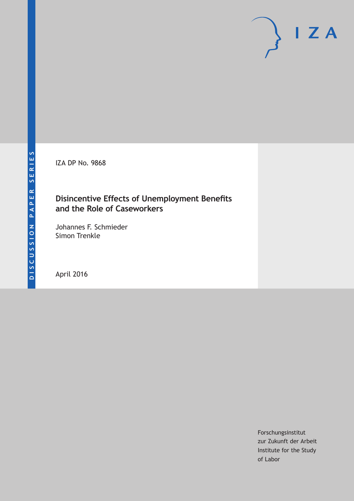IZA DP No. 9868

### **Disincentive Effects of Unemployment Benefits and the Role of Caseworkers**

Johannes F. Schmieder Simon Trenkle

April 2016

Forschungsinstitut zur Zukunft der Arbeit Institute for the Study of Labor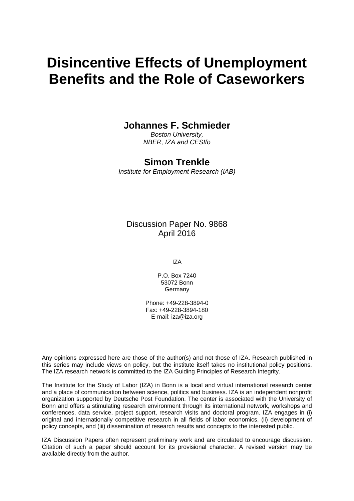# **Disincentive Effects of Unemployment Benefits and the Role of Caseworkers**

### **Johannes F. Schmieder**

*Boston University, NBER, IZA and CESIfo* 

## **Simon Trenkle**

*Institute for Employment Research (IAB)* 

Discussion Paper No. 9868 April 2016

IZA

P.O. Box 7240 53072 Bonn **Germany** 

Phone: +49-228-3894-0 Fax: +49-228-3894-180 E-mail: iza@iza.org

Any opinions expressed here are those of the author(s) and not those of IZA. Research published in this series may include views on policy, but the institute itself takes no institutional policy positions. The IZA research network is committed to the IZA Guiding Principles of Research Integrity.

The Institute for the Study of Labor (IZA) in Bonn is a local and virtual international research center and a place of communication between science, politics and business. IZA is an independent nonprofit organization supported by Deutsche Post Foundation. The center is associated with the University of Bonn and offers a stimulating research environment through its international network, workshops and conferences, data service, project support, research visits and doctoral program. IZA engages in (i) original and internationally competitive research in all fields of labor economics, (ii) development of policy concepts, and (iii) dissemination of research results and concepts to the interested public.

IZA Discussion Papers often represent preliminary work and are circulated to encourage discussion. Citation of such a paper should account for its provisional character. A revised version may be available directly from the author.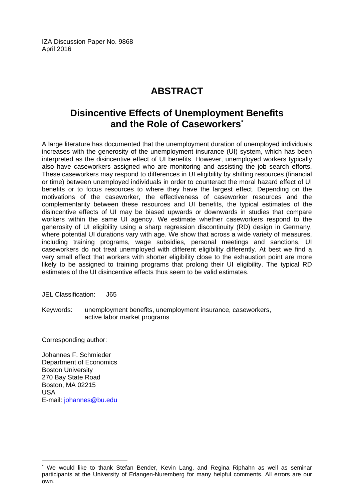IZA Discussion Paper No. 9868 April 2016

# **ABSTRACT**

# **Disincentive Effects of Unemployment Benefits and the Role of Caseworkers\***

A large literature has documented that the unemployment duration of unemployed individuals increases with the generosity of the unemployment insurance (UI) system, which has been interpreted as the disincentive effect of UI benefits. However, unemployed workers typically also have caseworkers assigned who are monitoring and assisting the job search efforts. These caseworkers may respond to differences in UI eligibility by shifting resources (financial or time) between unemployed individuals in order to counteract the moral hazard effect of UI benefits or to focus resources to where they have the largest effect. Depending on the motivations of the caseworker, the effectiveness of caseworker resources and the complementarity between these resources and UI benefits, the typical estimates of the disincentive effects of UI may be biased upwards or downwards in studies that compare workers within the same UI agency. We estimate whether caseworkers respond to the generosity of UI eligibility using a sharp regression discontinuity (RD) design in Germany, where potential UI durations vary with age. We show that across a wide variety of measures, including training programs, wage subsidies, personal meetings and sanctions, UI caseworkers do not treat unemployed with different eligibility differently. At best we find a very small effect that workers with shorter eligibility close to the exhaustion point are more likely to be assigned to training programs that prolong their UI eligibility. The typical RD estimates of the UI disincentive effects thus seem to be valid estimates.

JEL Classification: J65

Keywords: unemployment benefits, unemployment insurance, caseworkers, active labor market programs

Corresponding author:

Johannes F. Schmieder Department of Economics Boston University 270 Bay State Road Boston, MA 02215 USA E-mail: johannes@bu.edu

 $\overline{a}$ 

<sup>\*</sup> We would like to thank Stefan Bender, Kevin Lang, and Regina Riphahn as well as seminar participants at the University of Erlangen-Nuremberg for many helpful comments. All errors are our own.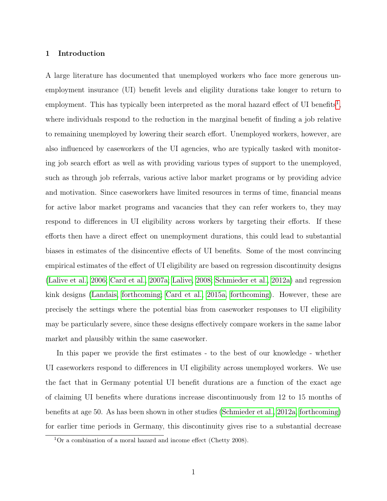#### 1 Introduction

A large literature has documented that unemployed workers who face more generous unemployment insurance (UI) benefit levels and eligility durations take longer to return to employment. This has typically been interpreted as the moral hazard effect of UI benefits<sup>[1](#page-3-0)</sup>, where individuals respond to the reduction in the marginal benefit of finding a job relative to remaining unemployed by lowering their search effort. Unemployed workers, however, are also influenced by caseworkers of the UI agencies, who are typically tasked with monitoring job search effort as well as with providing various types of support to the unemployed, such as through job referrals, various active labor market programs or by providing advice and motivation. Since caseworkers have limited resources in terms of time, financial means for active labor market programs and vacancies that they can refer workers to, they may respond to differences in UI eligibility across workers by targeting their efforts. If these efforts then have a direct effect on unemployment durations, this could lead to substantial biases in estimates of the disincentive effects of UI benefits. Some of the most convincing empirical estimates of the effect of UI eligibility are based on regression discontinuity designs [\(Lalive et al., 2006;](#page-27-0) [Card et al., 2007a;](#page-26-0) [Lalive, 2008;](#page-27-1) [Schmieder et al., 2012a\)](#page-27-2) and regression kink designs [\(Landais, forthcoming;](#page-27-3) [Card et al., 2015a,](#page-26-1) [forthcoming\)](#page-26-2). However, these are precisely the settings where the potential bias from caseworker responses to UI eligibility may be particularly severe, since these designs effectively compare workers in the same labor market and plausibly within the same caseworker.

In this paper we provide the first estimates - to the best of our knowledge - whether UI caseworkers respond to differences in UI eligibility across unemployed workers. We use the fact that in Germany potential UI benefit durations are a function of the exact age of claiming UI benefits where durations increase discontinuously from 12 to 15 months of benefits at age 50. As has been shown in other studies [\(Schmieder et al., 2012a,](#page-27-2) [forthcoming\)](#page-28-0) for earlier time periods in Germany, this discontinuity gives rise to a substantial decrease

<span id="page-3-0"></span> $1$ Or a combination of a moral hazard and income effect (Chetty 2008).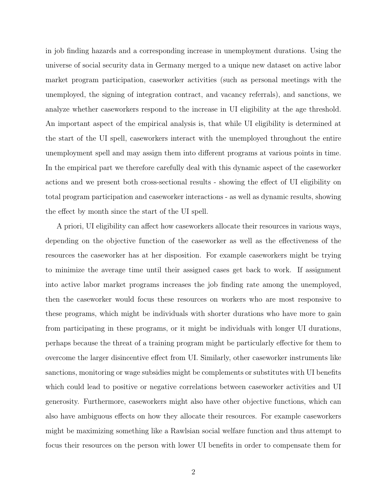in job finding hazards and a corresponding increase in unemployment durations. Using the universe of social security data in Germany merged to a unique new dataset on active labor market program participation, caseworker activities (such as personal meetings with the unemployed, the signing of integration contract, and vacancy referrals), and sanctions, we analyze whether caseworkers respond to the increase in UI eligibility at the age threshold. An important aspect of the empirical analysis is, that while UI eligibility is determined at the start of the UI spell, caseworkers interact with the unemployed throughout the entire unemployment spell and may assign them into different programs at various points in time. In the empirical part we therefore carefully deal with this dynamic aspect of the caseworker actions and we present both cross-sectional results - showing the effect of UI eligibility on total program participation and caseworker interactions - as well as dynamic results, showing the effect by month since the start of the UI spell.

A priori, UI eligibility can affect how caseworkers allocate their resources in various ways, depending on the objective function of the caseworker as well as the effectiveness of the resources the caseworker has at her disposition. For example caseworkers might be trying to minimize the average time until their assigned cases get back to work. If assignment into active labor market programs increases the job finding rate among the unemployed, then the caseworker would focus these resources on workers who are most responsive to these programs, which might be individuals with shorter durations who have more to gain from participating in these programs, or it might be individuals with longer UI durations, perhaps because the threat of a training program might be particularly effective for them to overcome the larger disincentive effect from UI. Similarly, other caseworker instruments like sanctions, monitoring or wage subsidies might be complements or substitutes with UI benefits which could lead to positive or negative correlations between caseworker activities and UI generosity. Furthermore, caseworkers might also have other objective functions, which can also have ambiguous effects on how they allocate their resources. For example caseworkers might be maximizing something like a Rawlsian social welfare function and thus attempt to focus their resources on the person with lower UI benefits in order to compensate them for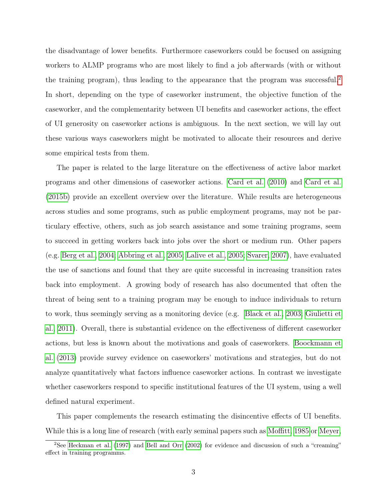the disadvantage of lower benefits. Furthermore caseworkers could be focused on assigning workers to ALMP programs who are most likely to find a job afterwards (with or without the training program), thus leading to the appearance that the program was successful.<sup>[2](#page-5-0)</sup> In short, depending on the type of caseworker instrument, the objective function of the caseworker, and the complementarity between UI benefits and caseworker actions, the effect of UI generosity on caseworker actions is ambiguous. In the next section, we will lay out these various ways caseworkers might be motivated to allocate their resources and derive some empirical tests from them.

The paper is related to the large literature on the effectiveness of active labor market programs and other dimensions of caseworker actions. [Card et al.](#page-26-3) [\(2010\)](#page-26-3) and [Card et al.](#page-26-4) [\(2015b\)](#page-26-4) provide an excellent overview over the literature. While results are heterogeneous across studies and some programs, such as public employment programs, may not be particulary effective, others, such as job search assistance and some training programs, seem to succeed in getting workers back into jobs over the short or medium run. Other papers (e.g. [Berg et al., 2004;](#page-28-1) [Abbring et al., 2005;](#page-26-5) [Lalive et al., 2005;](#page-27-4) [Svarer, 2007\)](#page-28-2), have evaluated the use of sanctions and found that they are quite successful in increasing transition rates back into employment. A growing body of research has also documented that often the threat of being sent to a training program may be enough to induce individuals to return to work, thus seemingly serving as a monitoring device (e.g. [Black et al., 2003;](#page-26-6) [Giulietti et](#page-27-5) [al., 2011\)](#page-27-5). Overall, there is substantial evidence on the effectiveness of different caseworker actions, but less is known about the motivations and goals of caseworkers. [Boockmann et](#page-26-7) [al.](#page-26-7) [\(2013\)](#page-26-7) provide survey evidence on caseworkers' motivations and strategies, but do not analyze quantitatively what factors influence caseworker actions. In contrast we investigate whether caseworkers respond to specific institutional features of the UI system, using a well defined natural experiment.

This paper complements the research estimating the disincentive effects of UI benefits. While this is a long line of research (with early seminal papers such as [Moffitt, 1985](#page-27-6) or [Meyer,](#page-27-7)

<span id="page-5-0"></span><sup>&</sup>lt;sup>2</sup>See [Heckman et al.](#page-27-8) [\(1997\)](#page-27-8) and [Bell and Orr](#page-26-8) [\(2002\)](#page-26-8) for evidence and discussion of such a "creaming" effect in training programms.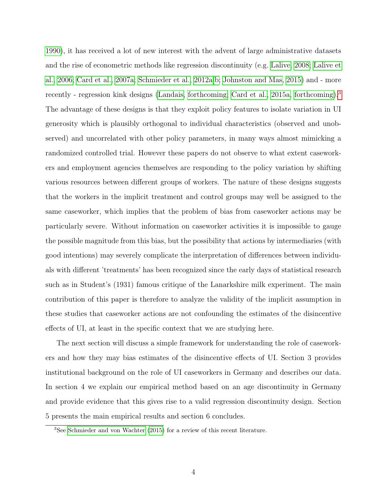[1990\)](#page-27-7), it has received a lot of new interest with the advent of large administrative datasets and the rise of econometric methods like regression discontinuity (e.g. [Lalive, 2008;](#page-27-1) [Lalive et](#page-27-0) [al., 2006;](#page-27-0) [Card et al., 2007a;](#page-26-0) [Schmieder et al., 2012a,](#page-27-2)[b;](#page-27-9) [Johnston and Mas, 2015\)](#page-27-10) and - more recently - regression kink designs [\(Landais, forthcoming;](#page-27-3) [Card et al., 2015a,](#page-26-1) [forthcoming\)](#page-26-2).<sup>[3](#page-6-0)</sup> The advantage of these designs is that they exploit policy features to isolate variation in UI generosity which is plausibly orthogonal to individual characteristics (observed and unobserved) and uncorrelated with other policy parameters, in many ways almost mimicking a randomized controlled trial. However these papers do not observe to what extent caseworkers and employment agencies themselves are responding to the policy variation by shifting various resources between different groups of workers. The nature of these designs suggests that the workers in the implicit treatment and control groups may well be assigned to the same caseworker, which implies that the problem of bias from caseworker actions may be particularly severe. Without information on caseworker activities it is impossible to gauge the possible magnitude from this bias, but the possibility that actions by intermediaries (with good intentions) may severely complicate the interpretation of differences between individuals with different 'treatments' has been recognized since the early days of statistical research such as in Student's (1931) famous critique of the Lanarkshire milk experiment. The main contribution of this paper is therefore to analyze the validity of the implicit assumption in these studies that caseworker actions are not confounding the estimates of the disincentive effects of UI, at least in the specific context that we are studying here.

The next section will discuss a simple framework for understanding the role of caseworkers and how they may bias estimates of the disincentive effects of UI. Section 3 provides institutional background on the role of UI caseworkers in Germany and describes our data. In section 4 we explain our empirical method based on an age discontinuity in Germany and provide evidence that this gives rise to a valid regression discontinuity design. Section 5 presents the main empirical results and section 6 concludes.

<span id="page-6-0"></span><sup>3</sup>See [Schmieder and von Wachter](#page-27-11) [\(2015\)](#page-27-11) for a review of this recent literature.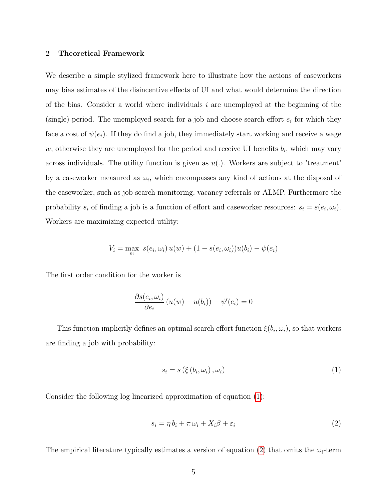#### 2 Theoretical Framework

We describe a simple stylized framework here to illustrate how the actions of caseworkers may bias estimates of the disincentive effects of UI and what would determine the direction of the bias. Consider a world where individuals  $i$  are unemployed at the beginning of the (single) period. The unemployed search for a job and choose search effort  $e_i$  for which they face a cost of  $\psi(e_i)$ . If they do find a job, they immediately start working and receive a wage w, otherwise they are unemployed for the period and receive UI benefits  $b_i$ , which may vary across individuals. The utility function is given as  $u(.)$ . Workers are subject to 'treatment' by a caseworker measured as  $\omega_i$ , which encompasses any kind of actions at the disposal of the caseworker, such as job search monitoring, vacancy referrals or ALMP. Furthermore the probability  $s_i$  of finding a job is a function of effort and caseworker resources:  $s_i = s(e_i, \omega_i)$ . Workers are maximizing expected utility:

$$
V_i = \max_{e_i} s(e_i, \omega_i) u(w) + (1 - s(e_i, \omega_i))u(b_i) - \psi(e_i)
$$

The first order condition for the worker is

$$
\frac{\partial s(e_i, \omega_i)}{\partial e_i} (u(w) - u(b_i)) - \psi'(e_i) = 0
$$

This function implicitly defines an optimal search effort function  $\xi(b_i, \omega_i)$ , so that workers are finding a job with probability:

<span id="page-7-0"></span>
$$
s_i = s\left(\xi\left(b_i, \omega_i\right), \omega_i\right) \tag{1}
$$

Consider the following log linearized approximation of equation [\(1\)](#page-7-0):

<span id="page-7-1"></span>
$$
s_i = \eta b_i + \pi \omega_i + X_i \beta + \varepsilon_i \tag{2}
$$

The empirical literature typically estimates a version of equation [\(2\)](#page-7-1) that omits the  $\omega_i$ -term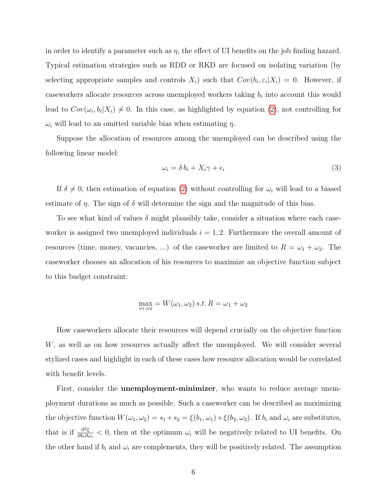in order to identify a parameter such as  $\eta$ , the effect of UI benefits on the job finding hazard. Typical estimation strategies such as RDD or RKD are focused on isolating variation (by selecting appropriate samples and controls  $X_i$ ) such that  $Cov(b_i, \varepsilon_i | X_i) = 0$ . However, if caseworkers allocate resources across unemployed workers taking  $b_i$  into account this would lead to  $Cov(\omega_i, b_i | X_i) \neq 0$ . In this case, as highlighted by equation [\(2\)](#page-7-1), not controlling for  $\omega_i$  will lead to an omitted variable bias when estimating  $\eta$ .

Suppose the allocation of resources among the unemployed can be described using the following linear model:

<span id="page-8-0"></span>
$$
\omega_i = \delta b_i + X_i \gamma + \epsilon_i \tag{3}
$$

If  $\delta \neq 0$ , then estimation of equation [\(2\)](#page-7-1) without controlling for  $\omega_i$  will lead to a biased estimate of  $\eta$ . The sign of  $\delta$  will determine the sign and the magnitude of this bias.

To see what kind of values  $\delta$  might plausibly take, consider a situation where each caseworker is assigned two unemployed individuals  $i = 1, 2$ . Furthermore the overall amount of resources (time, money, vacancies, ...) of the caseworker are limited to  $R = \omega_1 + \omega_2$ . The caseworker chooses an allocation of his resources to maximize an objective function subject to this budget constraint:

$$
\max_{\omega_1,\omega_2} = W(\omega_1,\omega_2) \, s.t. \, R = \omega_1 + \omega_2
$$

How caseworkers allocate their resources will depend crucially on the objective function W, as well as on how resources actually affect the unemployed. We will consider several stylized cases and highlight in each of these cases how resource allocation would be correlated with benefit levels.

First, consider the **unemployment-minimizer**, who wants to reduce average unemployment durations as much as possible. Such a caseworker can be described as maximizing the objective function  $W(\omega_1, \omega_2) = s_1 + s_2 = \xi(b_1, \omega_1) + \xi(b_2, \omega_2)$ . If  $b_i$  and  $\omega_i$  are substitutes, that is if  $\frac{\partial^2 \xi}{\partial h \cdot \partial \zeta}$  $\frac{\partial^2 \xi}{\partial b_i \partial \omega_i}$  < 0, then at the optimum  $\omega_i$  will be negatively related to UI benefits. On the other hand if  $b_i$  and  $\omega_i$  are complements, they will be positively related. The assumption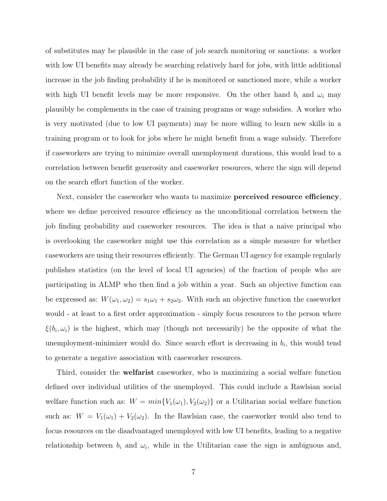of substitutes may be plausible in the case of job search monitoring or sanctions: a worker with low UI benefits may already be searching relatively hard for jobs, with little additional increase in the job finding probability if he is monitored or sanctioned more, while a worker with high UI benefit levels may be more responsive. On the other hand  $b_i$  and  $\omega_i$  may plausibly be complements in the case of training programs or wage subsidies. A worker who is very motivated (due to low UI payments) may be more willing to learn new skills in a training program or to look for jobs where he might benefit from a wage subsidy. Therefore if caseworkers are trying to minimize overall unemployment durations, this would lead to a correlation between benefit generosity and caseworker resources, where the sign will depend on the search effort function of the worker.

Next, consider the caseworker who wants to maximize **perceived resource efficiency**, where we define perceived resource efficiency as the unconditional correlation between the job finding probability and caseworker resources. The idea is that a naive principal who is overlooking the caseworker might use this correlation as a simple measure for whether caseworkers are using their resources efficiently. The German UI agency for example regularly publishes statistics (on the level of local UI agencies) of the fraction of people who are participating in ALMP who then find a job within a year. Such an objective function can be expressed as:  $W(\omega_1, \omega_2) = s_1\omega_1 + s_2\omega_2$ . With such an objective function the caseworker would - at least to a first order approximation - simply focus resources to the person where  $\xi(b_i, \omega_i)$  is the highest, which may (though not necessarily) be the opposite of what the unemployment-minimizer would do. Since search effort is decreasing in  $b_i$ , this would tend to generate a negative association with caseworker resources.

Third, consider the **welfarist** caseworker, who is maximizing a social welfare function defined over individual utilities of the unemployed. This could include a Rawlsian social welfare function such as:  $W = min{V_1(\omega_1), V_2(\omega_2)}$  or a Utilitarian social welfare function such as:  $W = V_1(\omega_1) + V_2(\omega_2)$ . In the Rawlsian case, the caseworker would also tend to focus resources on the disadvantaged unemployed with low UI benefits, leading to a negative relationship between  $b_i$  and  $\omega_i$ , while in the Utilitarian case the sign is ambiguous and,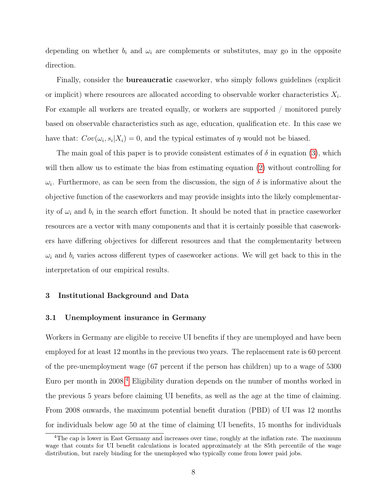depending on whether  $b_i$  and  $\omega_i$  are complements or substitutes, may go in the opposite direction.

Finally, consider the bureaucratic caseworker, who simply follows guidelines (explicit or implicit) where resources are allocated according to observable worker characteristics  $X_i$ . For example all workers are treated equally, or workers are supported / monitored purely based on observable characteristics such as age, education, qualification etc. In this case we have that:  $Cov(\omega_i, s_i | X_i) = 0$ , and the typical estimates of  $\eta$  would not be biased.

The main goal of this paper is to provide consistent estimates of  $\delta$  in equation [\(3\)](#page-8-0), which will then allow us to estimate the bias from estimating equation [\(2\)](#page-7-1) without controlling for  $\omega_i$ . Furthermore, as can be seen from the discussion, the sign of  $\delta$  is informative about the objective function of the caseworkers and may provide insights into the likely complementarity of  $\omega_i$  and  $b_i$  in the search effort function. It should be noted that in practice caseworker resources are a vector with many components and that it is certainly possible that caseworkers have differing objectives for different resources and that the complementarity between  $\omega_i$  and  $b_i$  varies across different types of caseworker actions. We will get back to this in the interpretation of our empirical results.

#### 3 Institutional Background and Data

#### 3.1 Unemployment insurance in Germany

Workers in Germany are eligible to receive UI benefits if they are unemployed and have been employed for at least 12 months in the previous two years. The replacement rate is 60 percent of the pre-unemployment wage (67 percent if the person has children) up to a wage of 5300 Euro per month in 2008.[4](#page-10-0) Eligibility duration depends on the number of months worked in the previous 5 years before claiming UI benefits, as well as the age at the time of claiming. From 2008 onwards, the maximum potential benefit duration (PBD) of UI was 12 months for individuals below age 50 at the time of claiming UI benefits, 15 months for individuals

<span id="page-10-0"></span><sup>&</sup>lt;sup>4</sup>The cap is lower in East Germany and increases over time, roughly at the inflation rate. The maximum wage that counts for UI benefit calculations is located approximately at the 85th percentile of the wage distribution, but rarely binding for the unemployed who typically come from lower paid jobs.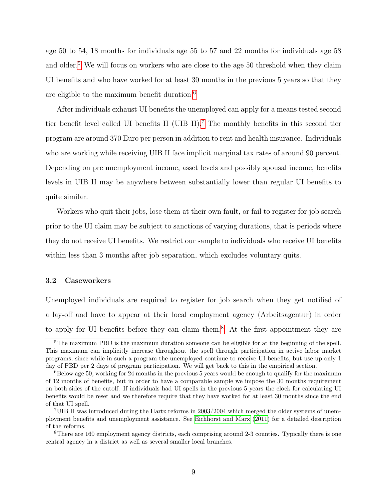age 50 to 54, 18 months for individuals age 55 to 57 and 22 months for individuals age 58 and older.<sup>[5](#page-11-0)</sup> We will focus on workers who are close to the age 50 threshold when they claim UI benefits and who have worked for at least 30 months in the previous 5 years so that they are eligible to the maximum benefit duration.<sup>[6](#page-11-1)</sup>

After individuals exhaust UI benefits the unemployed can apply for a means tested second tier benefit level called UI benefits II (UIB II).[7](#page-11-2) The monthly benefits in this second tier program are around 370 Euro per person in addition to rent and health insurance. Individuals who are working while receiving UIB II face implicit marginal tax rates of around 90 percent. Depending on pre unemployment income, asset levels and possibly spousal income, benefits levels in UIB II may be anywhere between substantially lower than regular UI benefits to quite similar.

Workers who quit their jobs, lose them at their own fault, or fail to register for job search prior to the UI claim may be subject to sanctions of varying durations, that is periods where they do not receive UI benefits. We restrict our sample to individuals who receive UI benefits within less than 3 months after job separation, which excludes voluntary quits.

#### 3.2 Caseworkers

Unemployed individuals are required to register for job search when they get notified of a lay-off and have to appear at their local employment agency (Arbeitsagentur) in order to apply for UI benefits before they can claim them.[8](#page-11-3) At the first appointment they are

<span id="page-11-0"></span><sup>&</sup>lt;sup>5</sup>The maximum PBD is the maximum duration someone can be eligible for at the beginning of the spell. This maximum can implicitly increase throughout the spell through participation in active labor market programs, since while in such a program the unemployed continue to receive UI benefits, but use up only 1 day of PBD per 2 days of program participation. We will get back to this in the empirical section.

<span id="page-11-1"></span> $6B$ elow age 50, working for 24 months in the previous 5 years would be enough to qualify for the maximum of 12 months of benefits, but in order to have a comparable sample we impose the 30 months requirement on both sides of the cutoff. If individuals had UI spells in the previous 5 years the clock for calculating UI benefits would be reset and we therefore require that they have worked for at least 30 months since the end of that UI spell.

<span id="page-11-2"></span><sup>&</sup>lt;sup>7</sup>UIB II was introduced during the Hartz reforms in  $2003/2004$  which merged the older systems of unemployment benefits and unemployment assistance. See [Eichhorst and Marx](#page-26-9) [\(2011\)](#page-26-9) for a detailed description of the reforms.

<span id="page-11-3"></span><sup>8</sup>There are 160 employment agency districts, each comprising around 2-3 counties. Typically there is one central agency in a district as well as several smaller local branches.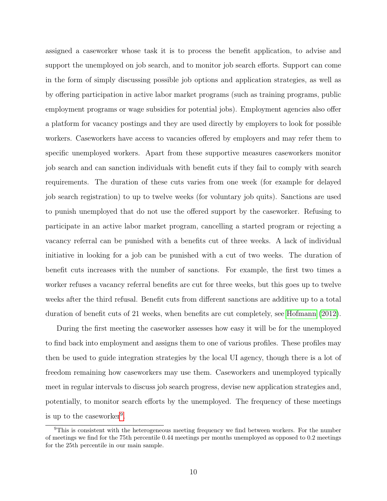assigned a caseworker whose task it is to process the benefit application, to advise and support the unemployed on job search, and to monitor job search efforts. Support can come in the form of simply discussing possible job options and application strategies, as well as by offering participation in active labor market programs (such as training programs, public employment programs or wage subsidies for potential jobs). Employment agencies also offer a platform for vacancy postings and they are used directly by employers to look for possible workers. Caseworkers have access to vacancies offered by employers and may refer them to specific unemployed workers. Apart from these supportive measures caseworkers monitor job search and can sanction individuals with benefit cuts if they fail to comply with search requirements. The duration of these cuts varies from one week (for example for delayed job search registration) to up to twelve weeks (for voluntary job quits). Sanctions are used to punish unemployed that do not use the offered support by the caseworker. Refusing to participate in an active labor market program, cancelling a started program or rejecting a vacancy referral can be punished with a benefits cut of three weeks. A lack of individual initiative in looking for a job can be punished with a cut of two weeks. The duration of benefit cuts increases with the number of sanctions. For example, the first two times a worker refuses a vacancy referral benefits are cut for three weeks, but this goes up to twelve weeks after the third refusal. Benefit cuts from different sanctions are additive up to a total duration of benefit cuts of 21 weeks, when benefits are cut completely, see [Hofmann](#page-27-12) [\(2012\)](#page-27-12).

During the first meeting the caseworker assesses how easy it will be for the unemployed to find back into employment and assigns them to one of various profiles. These profiles may then be used to guide integration strategies by the local UI agency, though there is a lot of freedom remaining how caseworkers may use them. Caseworkers and unemployed typically meet in regular intervals to discuss job search progress, devise new application strategies and, potentially, to monitor search efforts by the unemployed. The frequency of these meetings is up to the caseworker<sup>[9](#page-12-0)</sup>.

<span id="page-12-0"></span><sup>&</sup>lt;sup>9</sup>This is consistent with the heterogeneous meeting frequency we find between workers. For the number of meetings we find for the 75th percentile 0.44 meetings per months unemployed as opposed to 0.2 meetings for the 25th percentile in our main sample.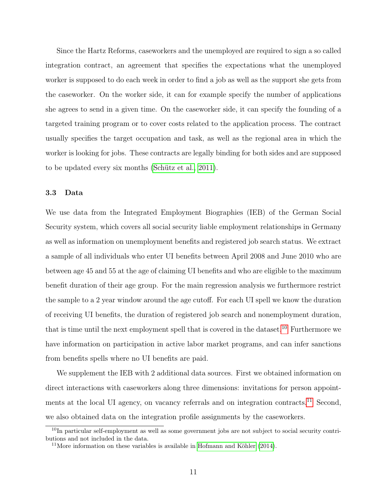Since the Hartz Reforms, caseworkers and the unemployed are required to sign a so called integration contract, an agreement that specifies the expectations what the unemployed worker is supposed to do each week in order to find a job as well as the support she gets from the caseworker. On the worker side, it can for example specify the number of applications she agrees to send in a given time. On the caseworker side, it can specify the founding of a targeted training program or to cover costs related to the application process. The contract usually specifies the target occupation and task, as well as the regional area in which the worker is looking for jobs. These contracts are legally binding for both sides and are supposed to be updated every six months [\(Schütz et al., 2011\)](#page-28-3).

#### 3.3 Data

We use data from the Integrated Employment Biographies (IEB) of the German Social Security system, which covers all social security liable employment relationships in Germany as well as information on unemployment benefits and registered job search status. We extract a sample of all individuals who enter UI benefits between April 2008 and June 2010 who are between age 45 and 55 at the age of claiming UI benefits and who are eligible to the maximum benefit duration of their age group. For the main regression analysis we furthermore restrict the sample to a 2 year window around the age cutoff. For each UI spell we know the duration of receiving UI benefits, the duration of registered job search and nonemployment duration, that is time until the next employment spell that is covered in the dataset.<sup>[10](#page-13-0)</sup> Furthermore we have information on participation in active labor market programs, and can infer sanctions from benefits spells where no UI benefits are paid.

We supplement the IEB with 2 additional data sources. First we obtained information on direct interactions with caseworkers along three dimensions: invitations for person appoint-ments at the local UI agency, on vacancy referrals and on integration contracts.<sup>[11](#page-13-1)</sup> Second, we also obtained data on the integration profile assignments by the caseworkers.

<span id="page-13-0"></span> $10$ In particular self-employment as well as some government jobs are not subject to social security contributions and not included in the data.

<span id="page-13-1"></span><sup>&</sup>lt;sup>11</sup>More information on these variables is available in [Hofmann and Köhler](#page-27-13)  $(2014)$ .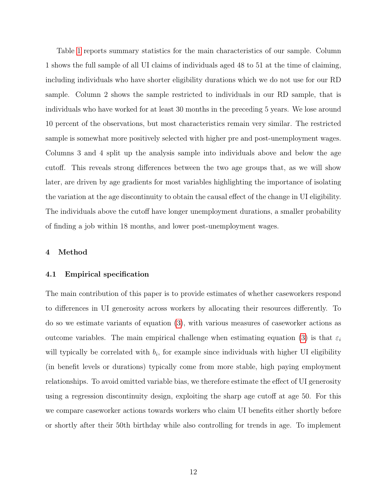Table [1](#page-29-0) reports summary statistics for the main characteristics of our sample. Column 1 shows the full sample of all UI claims of individuals aged 48 to 51 at the time of claiming, including individuals who have shorter eligibility durations which we do not use for our RD sample. Column 2 shows the sample restricted to individuals in our RD sample, that is individuals who have worked for at least 30 months in the preceding 5 years. We lose around 10 percent of the observations, but most characteristics remain very similar. The restricted sample is somewhat more positively selected with higher pre and post-unemployment wages. Columns 3 and 4 split up the analysis sample into individuals above and below the age cutoff. This reveals strong differences between the two age groups that, as we will show later, are driven by age gradients for most variables highlighting the importance of isolating the variation at the age discontinuity to obtain the causal effect of the change in UI eligibility. The individuals above the cutoff have longer unemployment durations, a smaller probability of finding a job within 18 months, and lower post-unemployment wages.

#### 4 Method

#### 4.1 Empirical specification

The main contribution of this paper is to provide estimates of whether caseworkers respond to differences in UI generosity across workers by allocating their resources differently. To do so we estimate variants of equation [\(3\)](#page-8-0), with various measures of caseworker actions as outcome variables. The main empirical challenge when estimating equation [\(3\)](#page-8-0) is that  $\varepsilon_i$ will typically be correlated with  $b_i$ , for example since individuals with higher UI eligibility (in benefit levels or durations) typically come from more stable, high paying employment relationships. To avoid omitted variable bias, we therefore estimate the effect of UI generosity using a regression discontinuity design, exploiting the sharp age cutoff at age 50. For this we compare caseworker actions towards workers who claim UI benefits either shortly before or shortly after their 50th birthday while also controlling for trends in age. To implement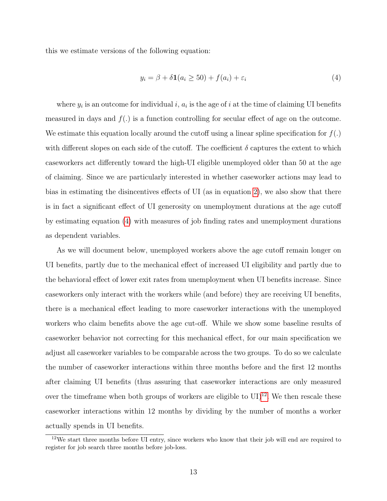this we estimate versions of the following equation:

<span id="page-15-0"></span>
$$
y_i = \beta + \delta \mathbf{1}(a_i \ge 50) + f(a_i) + \varepsilon_i \tag{4}
$$

where  $y_i$  is an outcome for individual i,  $a_i$  is the age of i at the time of claiming UI benefits measured in days and  $f(.)$  is a function controlling for secular effect of age on the outcome. We estimate this equation locally around the cutoff using a linear spline specification for  $f(.)$ with different slopes on each side of the cutoff. The coefficient  $\delta$  captures the extent to which caseworkers act differently toward the high-UI eligible unemployed older than 50 at the age of claiming. Since we are particularly interested in whether caseworker actions may lead to bias in estimating the disincentives effects of UI (as in equation [2\)](#page-7-1), we also show that there is in fact a significant effect of UI generosity on unemployment durations at the age cutoff by estimating equation [\(4\)](#page-15-0) with measures of job finding rates and unemployment durations as dependent variables.

As we will document below, unemployed workers above the age cutoff remain longer on UI benefits, partly due to the mechanical effect of increased UI eligibility and partly due to the behavioral effect of lower exit rates from unemployment when UI benefits increase. Since caseworkers only interact with the workers while (and before) they are receiving UI benefits, there is a mechanical effect leading to more caseworker interactions with the unemployed workers who claim benefits above the age cut-off. While we show some baseline results of caseworker behavior not correcting for this mechanical effect, for our main specification we adjust all caseworker variables to be comparable across the two groups. To do so we calculate the number of caseworker interactions within three months before and the first 12 months after claiming UI benefits (thus assuring that caseworker interactions are only measured over the timeframe when both groups of workers are eligible to  $\text{UI})^{12}$  $\text{UI})^{12}$  $\text{UI})^{12}$ . We then rescale these caseworker interactions within 12 months by dividing by the number of months a worker actually spends in UI benefits.

<span id="page-15-1"></span><sup>12</sup>We start three months before UI entry, since workers who know that their job will end are required to register for job search three months before job-loss.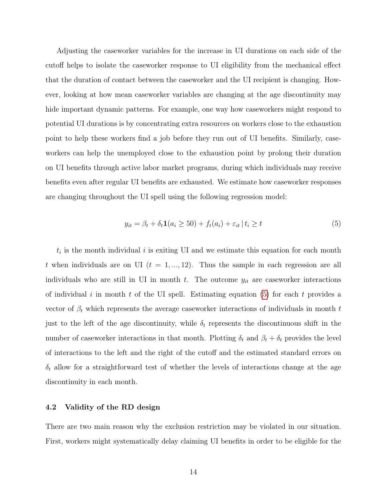Adjusting the caseworker variables for the increase in UI durations on each side of the cutoff helps to isolate the caseworker response to UI eligibility from the mechanical effect that the duration of contact between the caseworker and the UI recipient is changing. However, looking at how mean caseworker variables are changing at the age discontinuity may hide important dynamic patterns. For example, one way how caseworkers might respond to potential UI durations is by concentrating extra resources on workers close to the exhaustion point to help these workers find a job before they run out of UI benefits. Similarly, caseworkers can help the unemployed close to the exhaustion point by prolong their duration on UI benefits through active labor market programs, during which individuals may receive benefits even after regular UI benefits are exhausted. We estimate how caseworker responses are changing throughout the UI spell using the following regression model:

<span id="page-16-0"></span>
$$
y_{it} = \beta_t + \delta_t \mathbf{1}(a_i \ge 50) + f_t(a_i) + \varepsilon_{it} \mid t_i \ge t \tag{5}
$$

 $t_i$  is the month individual i is exiting UI and we estimate this equation for each month t when individuals are on UI ( $t = 1, ..., 12$ ). Thus the sample in each regression are all individuals who are still in UI in month  $t$ . The outcome  $y_{it}$  are caseworker interactions of individual i in month t of the UI spell. Estimating equation  $(5)$  for each t provides a vector of  $\beta_t$  which represents the average caseworker interactions of individuals in month t just to the left of the age discontinuity, while  $\delta_t$  represents the discontinuous shift in the number of caseworker interactions in that month. Plotting  $\delta_t$  and  $\beta_t + \delta_t$  provides the level of interactions to the left and the right of the cutoff and the estimated standard errors on  $\delta_t$  allow for a straightforward test of whether the levels of interactions change at the age discontinuity in each month.

#### 4.2 Validity of the RD design

There are two main reason why the exclusion restriction may be violated in our situation. First, workers might systematically delay claiming UI benefits in order to be eligible for the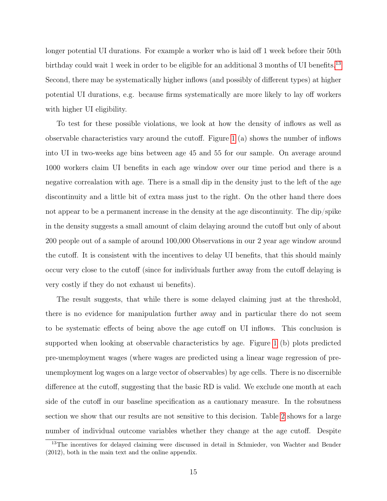longer potential UI durations. For example a worker who is laid off 1 week before their 50th birthday could wait 1 week in order to be eligible for an additional 3 months of UI benefits.<sup>[13](#page-17-0)</sup> Second, there may be systematically higher inflows (and possibly of different types) at higher potential UI durations, e.g. because firms systematically are more likely to lay off workers with higher UI eligibility.

To test for these possible violations, we look at how the density of inflows as well as observable characteristics vary around the cutoff. Figure [1](#page-35-0) (a) shows the number of inflows into UI in two-weeks age bins between age 45 and 55 for our sample. On average around 1000 workers claim UI benefits in each age window over our time period and there is a negative correalation with age. There is a small dip in the density just to the left of the age discontinuity and a little bit of extra mass just to the right. On the other hand there does not appear to be a permanent increase in the density at the age discontinuity. The dip/spike in the density suggests a small amount of claim delaying around the cutoff but only of about 200 people out of a sample of around 100,000 Observations in our 2 year age window around the cutoff. It is consistent with the incentives to delay UI benefits, that this should mainly occur very close to the cutoff (since for individuals further away from the cutoff delaying is very costly if they do not exhaust ui benefits).

The result suggests, that while there is some delayed claiming just at the threshold, there is no evidence for manipulation further away and in particular there do not seem to be systematic effects of being above the age cutoff on UI inflows. This conclusion is supported when looking at observable characteristics by age. Figure [1](#page-35-0) (b) plots predicted pre-unemployment wages (where wages are predicted using a linear wage regression of preunemployment log wages on a large vector of observables) by age cells. There is no discernible difference at the cutoff, suggesting that the basic RD is valid. We exclude one month at each side of the cutoff in our baseline specification as a cautionary measure. In the robsutness section we show that our results are not sensitive to this decision. Table [2](#page-30-0) shows for a large number of individual outcome variables whether they change at the age cutoff. Despite

<span id="page-17-0"></span><sup>&</sup>lt;sup>13</sup>The incentives for delayed claiming were discussed in detail in Schmieder, von Wachter and Bender (2012), both in the main text and the online appendix.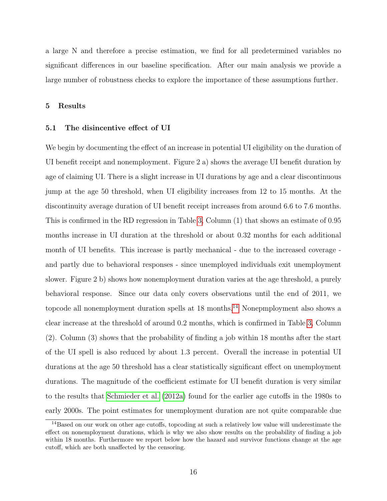a large N and therefore a precise estimation, we find for all predetermined variables no significant differences in our baseline specification. After our main analysis we provide a large number of robustness checks to explore the importance of these assumptions further.

#### 5 Results

#### 5.1 The disincentive effect of UI

We begin by documenting the effect of an increase in potential UI eligibility on the duration of UI benefit receipt and nonemployment. Figure 2 a) shows the average UI benefit duration by age of claiming UI. There is a slight increase in UI durations by age and a clear discontinuous jump at the age 50 threshold, when UI eligibility increases from 12 to 15 months. At the discontinuity average duration of UI benefit receipt increases from around 6.6 to 7.6 months. This is confirmed in the RD regression in Table [3,](#page-30-1) Column (1) that shows an estimate of 0.95 months increase in UI duration at the threshold or about 0.32 months for each additional month of UI benefits. This increase is partly mechanical - due to the increased coverage and partly due to behavioral responses - since unemployed individuals exit unemployment slower. Figure 2 b) shows how nonemployment duration varies at the age threshold, a purely behavioral response. Since our data only covers observations until the end of 2011, we topcode all nonemployment duration spells at 18 months.<sup>[14](#page-18-0)</sup> Nonepmployment also shows a clear increase at the threshold of around 0.2 months, which is confirmed in Table [3,](#page-30-1) Column (2). Column (3) shows that the probability of finding a job within 18 months after the start of the UI spell is also reduced by about 1.3 percent. Overall the increase in potential UI durations at the age 50 threshold has a clear statistically significant effect on unemployment durations. The magnitude of the coefficient estimate for UI benefit duration is very similar to the results that [Schmieder et al.](#page-27-2) [\(2012a\)](#page-27-2) found for the earlier age cutoffs in the 1980s to early 2000s. The point estimates for unemployment duration are not quite comparable due

<span id="page-18-0"></span><sup>&</sup>lt;sup>14</sup>Based on our work on other age cutoffs, topcoding at such a relatively low value will underestimate the effect on nonemployment durations, which is why we also show results on the probability of finding a job within 18 months. Furthermore we report below how the hazard and survivor functions change at the age cutoff, which are both unaffected by the censoring.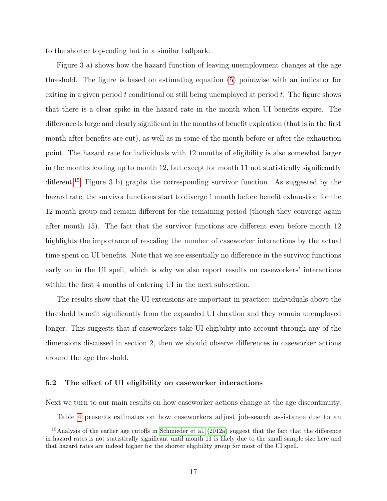to the shorter top-coding but in a similar ballpark.

Figure 3 a) shows how the hazard function of leaving unemployment changes at the age threshold. The figure is based on estimating equation [\(5\)](#page-16-0) pointwise with an indicator for exiting in a given period  $t$  conditional on still being unemployed at period  $t$ . The figure shows that there is a clear spike in the hazard rate in the month when UI benefits expire. The difference is large and clearly significant in the months of benefit expiration (that is in the first month after benefits are cut), as well as in some of the month before or after the exhaustion point. The hazard rate for individuals with 12 months of eligibility is also somewhat larger in the months leading up to month 12, but except for month 11 not statistically significantly different.<sup>[15](#page-19-0)</sup> Figure 3 b) graphs the corresponding survivor function. As suggested by the hazard rate, the survivor functions start to diverge 1 month before benefit exhaustion for the 12 month group and remain different for the remaining period (though they converge again after month 15). The fact that the survivor functions are different even before month 12 highlights the importance of rescaling the number of caseworker interactions by the actual time spent on UI benefits. Note that we see essentially no difference in the survivor functions early on in the UI spell, which is why we also report results on caseworkers' interactions within the first 4 months of entering UI in the next subsection.

The results show that the UI extensions are important in practice: individuals above the threshold benefit significantly from the expanded UI duration and they remain unemployed longer. This suggests that if caseworkers take UI eligibility into account through any of the dimensions discussed in section 2, then we should observe differences in caseworker actions around the age threshold.

#### 5.2 The effect of UI eligibility on caseworker interactions

Next we turn to our main results on how caseworker actions change at the age discontinuity.

<span id="page-19-0"></span>Table [4](#page-31-0) presents estimates on how caseworkers adjust job-search assistance due to an

<sup>&</sup>lt;sup>15</sup>Analysis of the earlier age cutoffs in [Schmieder et al.](#page-27-2) [\(2012a\)](#page-27-2) suggest that the fact that the difference in hazard rates is not statistically significant until month 11 is likely due to the small sample size here and that hazard rates are indeed higher for the shorter eligibility group for most of the UI spell.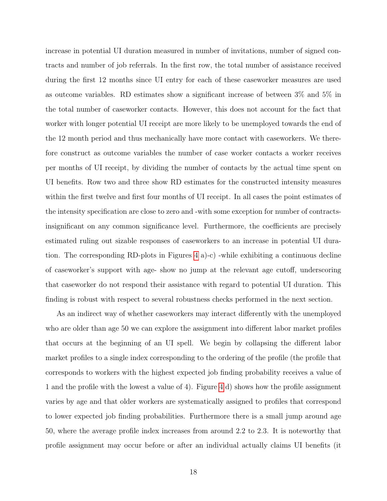increase in potential UI duration measured in number of invitations, number of signed contracts and number of job referrals. In the first row, the total number of assistance received during the first 12 months since UI entry for each of these caseworker measures are used as outcome variables. RD estimates show a significant increase of between 3% and 5% in the total number of caseworker contacts. However, this does not account for the fact that worker with longer potential UI receipt are more likely to be unemployed towards the end of the 12 month period and thus mechanically have more contact with caseworkers. We therefore construct as outcome variables the number of case worker contacts a worker receives per months of UI receipt, by dividing the number of contacts by the actual time spent on UI benefits. Row two and three show RD estimates for the constructed intensity measures within the first twelve and first four months of UI receipt. In all cases the point estimates of the intensity specification are close to zero and -with some exception for number of contractsinsignificant on any common significance level. Furthermore, the coefficients are precisely estimated ruling out sizable responses of caseworkers to an increase in potential UI duration. The corresponding RD-plots in Figures [4](#page-38-0) a)-c) -while exhibiting a continuous decline of caseworker's support with age- show no jump at the relevant age cutoff, underscoring that caseworker do not respond their assistance with regard to potential UI duration. This finding is robust with respect to several robustness checks performed in the next section.

As an indirect way of whether caseworkers may interact differently with the unemployed who are older than age 50 we can explore the assignment into different labor market profiles that occurs at the beginning of an UI spell. We begin by collapsing the different labor market profiles to a single index corresponding to the ordering of the profile (the profile that corresponds to workers with the highest expected job finding probability receives a value of 1 and the profile with the lowest a value of 4). Figure [4](#page-38-0) d) shows how the profile assignment varies by age and that older workers are systematically assigned to profiles that correspond to lower expected job finding probabilities. Furthermore there is a small jump around age 50, where the average profile index increases from around 2.2 to 2.3. It is noteworthy that profile assignment may occur before or after an individual actually claims UI benefits (it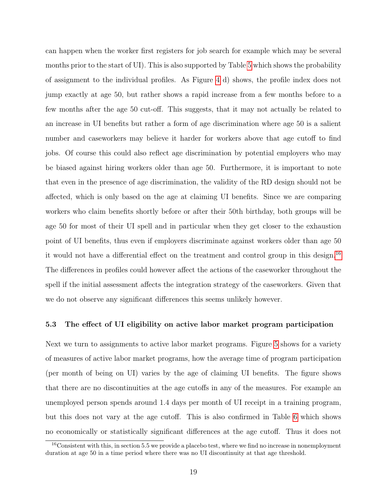can happen when the worker first registers for job search for example which may be several months prior to the start of UI). This is also supported by Table [5](#page-32-0) which shows the probability of assignment to the individual profiles. As Figure [4](#page-38-0) d) shows, the profile index does not jump exactly at age 50, but rather shows a rapid increase from a few months before to a few months after the age 50 cut-off. This suggests, that it may not actually be related to an increase in UI benefits but rather a form of age discrimination where age 50 is a salient number and caseworkers may believe it harder for workers above that age cutoff to find jobs. Of course this could also reflect age discrimination by potential employers who may be biased against hiring workers older than age 50. Furthermore, it is important to note that even in the presence of age discrimination, the validity of the RD design should not be affected, which is only based on the age at claiming UI benefits. Since we are comparing workers who claim benefits shortly before or after their 50th birthday, both groups will be age 50 for most of their UI spell and in particular when they get closer to the exhaustion point of UI benefits, thus even if employers discriminate against workers older than age 50 it would not have a differential effect on the treatment and control group in this design.[16](#page-21-0) The differences in profiles could however affect the actions of the caseworker throughout the spell if the initial assessment affects the integration strategy of the caseworkers. Given that we do not observe any significant differences this seems unlikely however.

#### 5.3 The effect of UI eligibility on active labor market program participation

Next we turn to assignments to active labor market programs. Figure [5](#page-39-0) shows for a variety of measures of active labor market programs, how the average time of program participation (per month of being on UI) varies by the age of claiming UI benefits. The figure shows that there are no discontinuities at the age cutoffs in any of the measures. For example an unemployed person spends around 1.4 days per month of UI receipt in a training program, but this does not vary at the age cutoff. This is also confirmed in Table [6](#page-33-0) which shows no economically or statistically significant differences at the age cutoff. Thus it does not

<span id="page-21-0"></span><sup>&</sup>lt;sup>16</sup>Consistent with this, in section 5.5 we provide a placebo test, where we find no increase in nonemployment duration at age 50 in a time period where there was no UI discontinuity at that age threshold.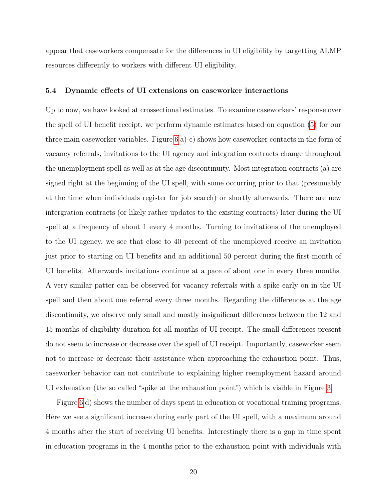appear that caseworkers compensate for the differences in UI eligibility by targetting ALMP resources differently to workers with different UI eligibility.

#### 5.4 Dynamic effects of UI extensions on caseworker interactions

Up to now, we have looked at crossectional estimates. To examine caseworkers' response over the spell of UI benefit receipt, we perform dynamic estimates based on equation [\(5\)](#page-16-0) for our three main caseworker variables. Figure [6](#page-40-0) a)-c) shows how caseworker contacts in the form of vacancy referrals, invitations to the UI agency and integration contracts change throughout the unemployment spell as well as at the age discontinuity. Most integration contracts (a) are signed right at the beginning of the UI spell, with some occurring prior to that (presumably at the time when individuals register for job search) or shortly afterwards. There are new intergration contracts (or likely rather updates to the existing contracts) later during the UI spell at a frequency of about 1 every 4 months. Turning to invitations of the unemployed to the UI agency, we see that close to 40 percent of the unemployed receive an invitation just prior to starting on UI benefits and an additional 50 percent during the first month of UI benefits. Afterwards invitations continue at a pace of about one in every three months. A very similar patter can be observed for vacancy referrals with a spike early on in the UI spell and then about one referral every three months. Regarding the differences at the age discontinuity, we observe only small and mostly insignificant differences between the 12 and 15 months of eligibility duration for all months of UI receipt. The small differences present do not seem to increase or decrease over the spell of UI receipt. Importantly, caseworker seem not to increase or decrease their assistance when approaching the exhaustion point. Thus, caseworker behavior can not contribute to explaining higher reemployment hazard around UI exhaustion (the so called "spike at the exhaustion point") which is visible in Figure [3.](#page-37-0)

Figure [6](#page-40-0) d) shows the number of days spent in education or vocational training programs. Here we see a significant increase during early part of the UI spell, with a maximum around 4 months after the start of receiving UI benefits. Interestingly there is a gap in time spent in education programs in the 4 months prior to the exhaustion point with individuals with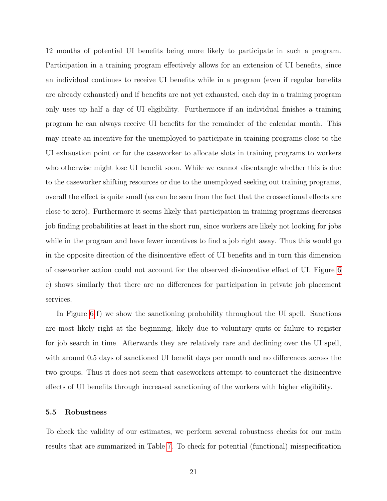12 months of potential UI benefits being more likely to participate in such a program. Participation in a training program effectively allows for an extension of UI benefits, since an individual continues to receive UI benefits while in a program (even if regular benefits are already exhausted) and if benefits are not yet exhausted, each day in a training program only uses up half a day of UI eligibility. Furthermore if an individual finishes a training program he can always receive UI benefits for the remainder of the calendar month. This may create an incentive for the unemployed to participate in training programs close to the UI exhaustion point or for the caseworker to allocate slots in training programs to workers who otherwise might lose UI benefit soon. While we cannot disentangle whether this is due to the caseworker shifting resources or due to the unemployed seeking out training programs, overall the effect is quite small (as can be seen from the fact that the crossectional effects are close to zero). Furthermore it seems likely that participation in training programs decreases job finding probabilities at least in the short run, since workers are likely not looking for jobs while in the program and have fewer incentives to find a job right away. Thus this would go in the opposite direction of the disincentive effect of UI benefits and in turn this dimension of caseworker action could not account for the observed disincentive effect of UI. Figure [6](#page-40-0) e) shows similarly that there are no differences for participation in private job placement services.

In Figure [6](#page-40-0) f) we show the sanctioning probability throughout the UI spell. Sanctions are most likely right at the beginning, likely due to voluntary quits or failure to register for job search in time. Afterwards they are relatively rare and declining over the UI spell, with around 0.5 days of sanctioned UI benefit days per month and no differences across the two groups. Thus it does not seem that caseworkers attempt to counteract the disincentive effects of UI benefits through increased sanctioning of the workers with higher eligibility.

#### 5.5 Robustness

To check the validity of our estimates, we perform several robustness checks for our main results that are summarized in Table [7.](#page-34-0) To check for potential (functional) misspecification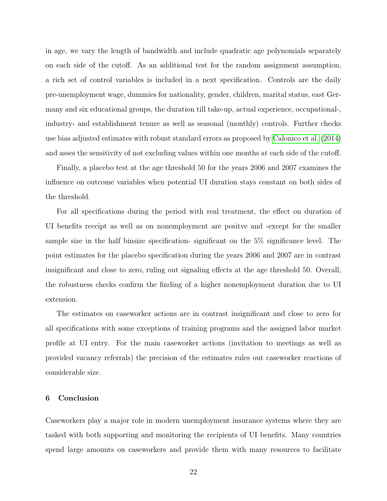in age, we vary the length of bandwidth and include quadratic age polynomials separately on each side of the cutoff. As an additional test for the random assignment assumption, a rich set of control variables is included in a next specification. Controls are the daily pre-unemployment wage, dummies for nationality, gender, children, marital status, east Germany and six educational groups, the duration till take-up, actual experience, occupational-, industry- and establishment tenure as well as seasonal (monthly) controls. Further checks use bias adjusted estimates with robust standard errors as proposed by [Calonico et al.](#page-26-10) [\(2014\)](#page-26-10) and asses the sensitivity of not excluding values within one months at each side of the cutoff.

Finally, a placebo test at the age threshold 50 for the years 2006 and 2007 examines the influence on outcome variables when potential UI duration stays constant on both sides of the threshold.

For all specifications during the period with real treatment, the effect on duration of UI benefits receipt as well as on nonemployment are positve and -except for the smaller sample size in the half binsize specification- significant on the 5% significance level. The point estimates for the placebo specification during the years 2006 and 2007 are in contrast insignificant and close to zero, ruling out signaling effects at the age threshold 50. Overall, the robustness checks confirm the finding of a higher nonemployment duration due to UI extension.

The estimates on caseworker actions are in contrast insignificant and close to zero for all specifications with some exceptions of training programs and the assigned labor market profile at UI entry. For the main caseworker actions (invitation to meetings as well as provided vacancy referrals) the precision of the estimates rules out caseworker reactions of considerable size.

#### 6 Conclusion

Caseworkers play a major role in modern unemployment insurance systems where they are tasked with both supporting and monitoring the recipients of UI benefits. Many countries spend large amounts on caseworkers and provide them with many resources to facilitate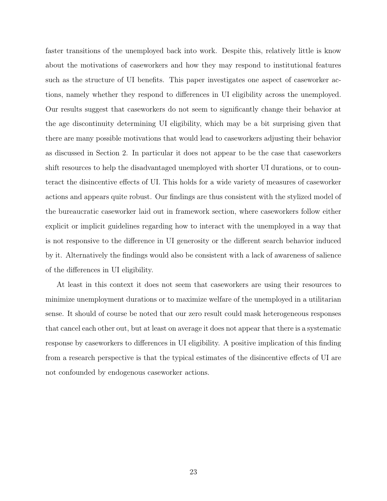faster transitions of the unemployed back into work. Despite this, relatively little is know about the motivations of caseworkers and how they may respond to institutional features such as the structure of UI benefits. This paper investigates one aspect of caseworker actions, namely whether they respond to differences in UI eligibility across the unemployed. Our results suggest that caseworkers do not seem to significantly change their behavior at the age discontinuity determining UI eligibility, which may be a bit surprising given that there are many possible motivations that would lead to caseworkers adjusting their behavior as discussed in Section 2. In particular it does not appear to be the case that caseworkers shift resources to help the disadvantaged unemployed with shorter UI durations, or to counteract the disincentive effects of UI. This holds for a wide variety of measures of caseworker actions and appears quite robust. Our findings are thus consistent with the stylized model of the bureaucratic caseworker laid out in framework section, where caseworkers follow either explicit or implicit guidelines regarding how to interact with the unemployed in a way that is not responsive to the difference in UI generosity or the different search behavior induced by it. Alternatively the findings would also be consistent with a lack of awareness of salience of the differences in UI eligibility.

At least in this context it does not seem that caseworkers are using their resources to minimize unemployment durations or to maximize welfare of the unemployed in a utilitarian sense. It should of course be noted that our zero result could mask heterogeneous responses that cancel each other out, but at least on average it does not appear that there is a systematic response by caseworkers to differences in UI eligibility. A positive implication of this finding from a research perspective is that the typical estimates of the disincentive effects of UI are not confounded by endogenous caseworker actions.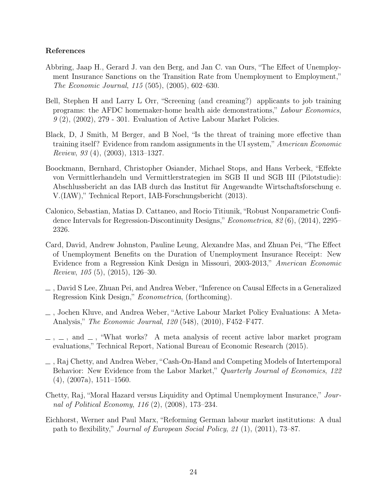#### References

- <span id="page-26-5"></span>Abbring, Jaap H., Gerard J. van den Berg, and Jan C. van Ours, "The Effect of Unemployment Insurance Sanctions on the Transition Rate from Unemployment to Employment," The Economic Journal, 115 (505), (2005), 602–630.
- <span id="page-26-8"></span>Bell, Stephen H and Larry L Orr, "Screening (and creaming?) applicants to job training programs: the AFDC homemaker-home health aide demonstrations," Labour Economics,  $9(2)$ ,  $(2002)$ ,  $279 - 301$ . Evaluation of Active Labour Market Policies.
- <span id="page-26-6"></span>Black, D, J Smith, M Berger, and B Noel, "Is the threat of training more effective than training itself? Evidence from random assignments in the UI system," American Economic Review, 93 (4), (2003), 1313–1327.
- <span id="page-26-7"></span>Boockmann, Bernhard, Christopher Osiander, Michael Stops, and Hans Verbeek, "Effekte von Vermittlerhandeln und Vermittlerstrategien im SGB II und SGB III (Pilotstudie): Abschlussbericht an das IAB durch das Institut für Angewandte Wirtschaftsforschung e. V.(IAW)," Technical Report, IAB-Forschungsbericht (2013).
- <span id="page-26-10"></span>Calonico, Sebastian, Matias D. Cattaneo, and Rocio Titiunik, "Robust Nonparametric Confidence Intervals for Regression-Discontinuity Designs," Econometrica, 82 (6), (2014), 2295– 2326.
- <span id="page-26-1"></span>Card, David, Andrew Johnston, Pauline Leung, Alexandre Mas, and Zhuan Pei, "The Effect of Unemployment Benefits on the Duration of Unemployment Insurance Receipt: New Evidence from a Regression Kink Design in Missouri, 2003-2013," American Economic Review, 105 (5), (2015), 126–30.
- <span id="page-26-2"></span>, David S Lee, Zhuan Pei, and Andrea Weber, "Inference on Causal Effects in a Generalized Regression Kink Design," Econometrica, (forthcoming).
- <span id="page-26-3"></span>, Jochen Kluve, and Andrea Weber, "Active Labour Market Policy Evaluations: A Meta-Analysis," The Economic Journal, 120 (548), (2010), F452–F477.
- <span id="page-26-4"></span> $\ldots$ , and  $\ldots$ , "What works? A meta analysis of recent active labor market program evaluations," Technical Report, National Bureau of Economic Research (2015).
- <span id="page-26-0"></span>, Raj Chetty, and Andrea Weber, "Cash-On-Hand and Competing Models of Intertemporal Behavior: New Evidence from the Labor Market," Quarterly Journal of Economics, 122  $(4)$ ,  $(2007a)$ ,  $1511-1560$ .
- Chetty, Raj, "Moral Hazard versus Liquidity and Optimal Unemployment Insurance," Journal of Political Economy, 116 (2), (2008), 173–234.
- <span id="page-26-9"></span>Eichhorst, Werner and Paul Marx, "Reforming German labour market institutions: A dual path to flexibility," Journal of European Social Policy, 21 (1), (2011), 73–87.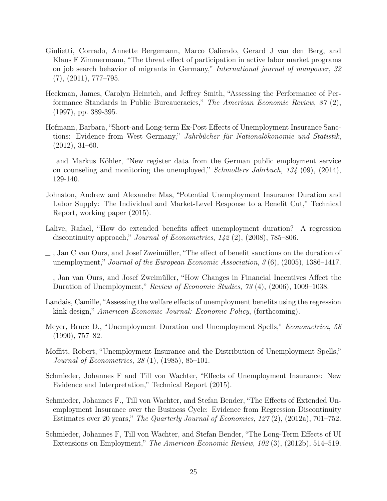- <span id="page-27-5"></span>Giulietti, Corrado, Annette Bergemann, Marco Caliendo, Gerard J van den Berg, and Klaus F Zimmermann, "The threat effect of participation in active labor market programs on job search behavior of migrants in Germany," International journal of manpower, 32  $(7), (2011), 777-795.$
- <span id="page-27-8"></span>Heckman, James, Carolyn Heinrich, and Jeffrey Smith, "Assessing the Performance of Performance Standards in Public Bureaucracies," The American Economic Review, 87 (2), (1997), pp. 389-395.
- <span id="page-27-12"></span>Hofmann, Barbara, "Short-and Long-term Ex-Post Effects of Unemployment Insurance Sanctions: Evidence from West Germany," Jahrbücher für Nationalökonomie und Statistik, (2012), 31–60.
- <span id="page-27-13"></span>and Markus Köhler, "New register data from the German public employment service on counseling and monitoring the unemployed," Schmollers Jahrbuch,  $134$  (09), (2014), 129-140.
- <span id="page-27-10"></span>Johnston, Andrew and Alexandre Mas, "Potential Unemployment Insurance Duration and Labor Supply: The Individual and Market-Level Response to a Benefit Cut," Technical Report, working paper (2015).
- <span id="page-27-1"></span>Lalive, Rafael, "How do extended benefits affect unemployment duration? A regression discontinuity approach," Journal of Econometrics,  $142$  (2), (2008), 785–806.
- <span id="page-27-4"></span>, Jan C van Ours, and Josef Zweimüller, "The effect of benefit sanctions on the duration of unemployment," Journal of the European Economic Association, 3 (6), (2005), 1386–1417.
- <span id="page-27-0"></span>, Jan van Ours, and Josef Zweimüller, "How Changes in Financial Incentives Affect the Duration of Unemployment," Review of Economic Studies, 73 (4), (2006), 1009–1038.
- <span id="page-27-3"></span>Landais, Camille, "Assessing the welfare effects of unemployment benefits using the regression kink design," American Economic Journal: Economic Policy, (forthcoming).
- <span id="page-27-7"></span>Meyer, Bruce D., "Unemployment Duration and Unemployment Spells," Econometrica, 58 (1990), 757–82.
- <span id="page-27-6"></span>Moffitt, Robert, "Unemployment Insurance and the Distribution of Unemployment Spells," Journal of Econometrics, 28 (1), (1985), 85–101.
- <span id="page-27-11"></span>Schmieder, Johannes F and Till von Wachter, "Effects of Unemployment Insurance: New Evidence and Interpretation," Technical Report (2015).
- <span id="page-27-2"></span>Schmieder, Johannes F., Till von Wachter, and Stefan Bender, "The Effects of Extended Unemployment Insurance over the Business Cycle: Evidence from Regression Discontinuity Estimates over 20 years," The Quarterly Journal of Economics, 127 (2), (2012a), 701–752.
- <span id="page-27-9"></span>Schmieder, Johannes F, Till von Wachter, and Stefan Bender, "The Long-Term Effects of UI Extensions on Employment," The American Economic Review, 102 (3), (2012b), 514–519.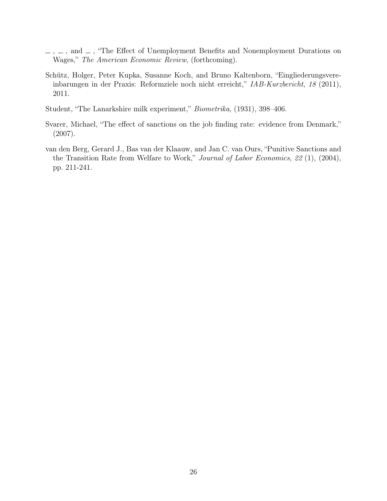- <span id="page-28-0"></span> $\ldots$ ,  $\ldots$ , and  $\ldots$ , "The Effect of Unemployment Benefits and Nonemployment Durations on Wages," The American Economic Review, (forthcoming).
- <span id="page-28-3"></span>Schütz, Holger, Peter Kupka, Susanne Koch, and Bruno Kaltenborn, "Eingliederungsvereinbarungen in der Praxis: Reformziele noch nicht erreicht," IAB-Kurzbericht, 18 (2011), 2011.
- Student, "The Lanarkshire milk experiment," Biometrika, (1931), 398–406.
- <span id="page-28-2"></span>Svarer, Michael, "The effect of sanctions on the job finding rate: evidence from Denmark," (2007).
- <span id="page-28-1"></span>van den Berg, Gerard J., Bas van der Klaauw, and Jan C. van Ours, "Punitive Sanctions and the Transition Rate from Welfare to Work," Journal of Labor Economics, 22 (1), (2004), pp. 211-241.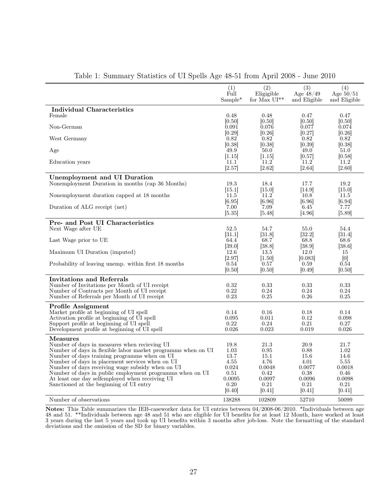|                                                                                                              | (1)<br>Full    | (2)<br>Eligigible | (3)<br>Age $48/49$ | (4)<br>Age $50/51$ |
|--------------------------------------------------------------------------------------------------------------|----------------|-------------------|--------------------|--------------------|
|                                                                                                              | $Sample*$      | for Max $UI^{**}$ | and Eligible       | and Eligible       |
| <b>Individual Characteristics</b>                                                                            |                |                   |                    |                    |
| Female                                                                                                       | 0.48           | 0.48              | 0.47               | 0.47               |
|                                                                                                              | [0.50]         | [0.50]            | [0.50]             | 0.50               |
| Non-German                                                                                                   | 0.091          | 0.076             | 0.077              | 0.074              |
|                                                                                                              | [0.29]         | [0.26]            | [0.27]             | [0.26]             |
| West Germany                                                                                                 | 0.82<br>[0.38] | 0.82<br> 0.38     | 0.82<br>[0.39]     | 0.82<br> 0.38      |
| Age                                                                                                          | 49.9           | 50.0              | 49.0               | 51.0               |
|                                                                                                              | [1.15]         | [1.15]            | [0.57]             | [0.58]             |
| Education years                                                                                              | 11.1           | 11.2              | 11.2               | 11.2               |
|                                                                                                              | [2.57]         | 2.62              | 2.64               | 2.60               |
| <b>Unemployment and UI Duration</b>                                                                          |                |                   |                    |                    |
| Nonemployment Duration in months (cap 36 Months)                                                             | 19.3           | 18.4              | 17.7               | 19.2               |
|                                                                                                              | [15.1]         | $[15.0]$          | $[14.9]$           | [15.0]             |
| Nonemployment duration capped at 18 months                                                                   | 11.5           | 11.2              | 10.8               | 11.5               |
|                                                                                                              | [6.95]         | [6.96]            | [6.96]             | [6.94]             |
| Duration of ALG receipt (net)                                                                                | 7.00           | 7.09              | 6.45               | 7.77               |
|                                                                                                              | [5.35]         | 5.48              | [4.96]             | [5.89]             |
| Pre- and Post UI Characteristics                                                                             |                |                   |                    |                    |
| Next Wage after UE                                                                                           | 52.5           | 54.7              | 55.0               | 54.4               |
|                                                                                                              | [31.1]         | [31.8]            | [32.2]             | 31.4               |
| Last Wage prior to UE                                                                                        | 64.4           | 68.7              | 68.8               | 68.6               |
|                                                                                                              | [39.0]         | 38.8              | [38.9]             | [38.6]             |
| Maximum UI Duration (imputed)                                                                                | 12.6           | 13.5              | 12.0               | 15                 |
|                                                                                                              | [2.97]         | [1.50]            | [0.083]            | [0]                |
| Probability of leaving unemp. within first 18 months                                                         | 0.54           | 0.57              | 0.59               | 0.54               |
|                                                                                                              | [0.50]         | 0.50              | 0.49               | 0.50               |
| Invitations and Referrals                                                                                    |                |                   |                    |                    |
| Number of Invitations per Month of UI receipt                                                                | 0.32           | 0.33              | 0.33               | 0.33               |
| Number of Contracts per Month of UI receipt                                                                  | 0.22           | 0.24              | 0.24               | 0.24               |
| Number of Referrals per Month of UI receipt                                                                  | 0.23           | 0.25              | 0.26               | 0.25               |
| <b>Profile Assignment</b>                                                                                    |                |                   |                    |                    |
| Market profile at beginning of UI spell                                                                      | 0.14           | 0.16              | 0.18               | 0.14               |
| Activation profile at beginning of UI spell                                                                  | 0.095          | 0.011             | 0.12               | 0.098              |
| Support profile at beginning of UI spell                                                                     | 0.22           | 0.24              | 0.21               | 0.27               |
| Development profile at beginning of UI spell                                                                 | 0.026          | 0.023             | 0.019              | 0.026              |
| <b>Measures</b>                                                                                              |                |                   |                    |                    |
| Number of days in measures when recieving UI                                                                 | 19.8           | 21.3              | 20.9               | 21.7               |
| Number of days in flexible labor market programms when on UI                                                 | 1.03           | 0.95              | 0.88               | 1.02               |
| Number of days training programms when on UI                                                                 | 13.7           | 15.1              | 15.6               | 14.6               |
| Number of days in placement services when on UI                                                              | 4.55           | 4.76              | 4.01               | 5.55               |
| Number of days receiving wage subsidy when on UI<br>Number of days in public employment programms when on UI | 0.024<br>0.51  | 0.0048<br>0.42    | 0.0077<br>0.38     | 0.0018<br>0.46     |
| At least one day selfemployed when receiving UI                                                              | 0.0095         | 0.0097            | 0.0096             | 0.0098             |
| Sanctioned at the beginning of UI entry                                                                      | 0.20           | 0.21              | 0.21               | 0.21               |
|                                                                                                              | 0.40           | 0.41              | 0.41               | 0.41               |
| Number of observations                                                                                       | 138288         | 102809            | 52710              | 50099              |
|                                                                                                              |                |                   |                    |                    |

#### <span id="page-29-0"></span>Table 1: Summary Statistics of UI Spells Age 48-51 from April 2008 - June 2010

Notes: This Table summarizes the IEB-caseworker data for UI entries between 04/2008-06/2010. \*Individuals between age 48 and 51. \*\*Individuals between age 48 and 51 who are eligible for UI benefits for at least 12 Month, have worked at least 3 years during the last 5 years and took up UI benefits within 3 months after job-loss. Note the formatting of the standard deviations and the omission of the SD for binary variables.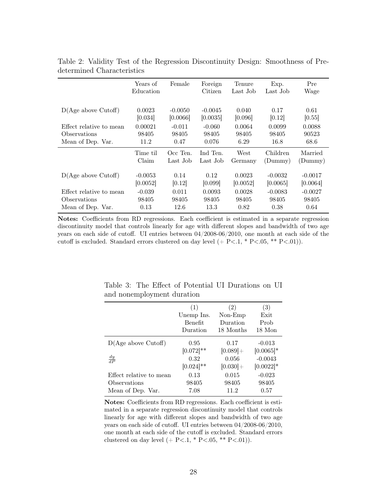|                         | Years of<br>Education | Female                | Foreign<br>Citizen    | Tenure<br>Last Job | Exp.<br>Last Job      | Pre<br>Wage           |
|-------------------------|-----------------------|-----------------------|-----------------------|--------------------|-----------------------|-----------------------|
| D(Age above Cutoff)     | 0.0023<br>[0.034]     | $-0.0050$<br>[0.0066] | $-0.0045$<br>[0.0035] | 0.040<br>[0.096]   | 0.17<br>[0.12]        | 0.61<br>[0.55]        |
| Effect relative to mean | 0.00021               | $-0.011$              | $-0.060$              | 0.0064             | 0.0099                | 0.0088                |
| <b>O</b> bservations    | 98405                 | 98405                 | 98405                 | 98405              | 98405                 | 90523                 |
| Mean of Dep. Var.       | 11.2                  | 0.47                  | 0.076                 | 6.29               | 16.8                  | 68.6                  |
|                         | Time til<br>Claim     | Occ Ten.<br>Last Job  | Ind Ten.<br>Last Job  | West<br>Germany    | Children<br>(Dummy)   | Married<br>(Dummy)    |
| D(Age above Cutoff)     | $-0.0053$<br>[0.0052] | 0.14<br>[0.12]        | 0.12<br>[0.099]       | 0.0023<br>[0.0052] | $-0.0032$<br>[0.0065] | $-0.0017$<br>[0.0064] |
| Effect relative to mean | $-0.039$              | 0.011                 | 0.0093                | 0.0028             | $-0.0083$             | $-0.0027$             |
| <b>O</b> bservations    | 98405                 | 98405                 | 98405                 | 98405              | 98405                 | 98405                 |
| Mean of Dep. Var.       | 0.13                  | 12.6                  | 13.3                  | 0.82               | 0.38                  | 0.64                  |

<span id="page-30-0"></span>Table 2: Validity Test of the Regression Discontinuity Design: Smoothness of Predetermined Characteristics

Notes: Coefficients from RD regressions. Each coefficient is estimated in a separate regression discontinuity model that controls linearly for age with different slopes and bandwidth of two age years on each side of cutoff. UI entries between 04/2008-06/2010, one month at each side of the cutoff is excluded. Standard errors clustered on day level  $(+ P<1, * P<0.05, ** P<0.01)$ .

|                         | (1)          | (2)         | (3)              |
|-------------------------|--------------|-------------|------------------|
|                         | Unemp Ins.   | $Non-Emp$   | Exit             |
|                         | Benefit      | Duration    | Prob             |
|                         | Duration     | 18 Months   | $18 \text{ Mon}$ |
| D(Age above Cutoff)     | 0.95         | 0.17        | $-0.013$         |
|                         | $[0.072]$ ** | $[0.089]+$  | $[0.0065]*$      |
| $\frac{dy}{dP}$         | 0.32         | 0.056       | $-0.0043$        |
|                         | $[0.024]$ ** | $[0.030] +$ | $[0.0022]*$      |
| Effect relative to mean | 0.13         | 0.015       | $-0.023$         |
| Observations            | 98405        | 98405       | 98405            |
| Mean of Dep. Var.       | 7.08         | 11.2        | 0.57             |

<span id="page-30-1"></span>Table 3: The Effect of Potential UI Durations on UI and nonemployment duration

Notes: Coefficients from RD regressions. Each coefficient is estimated in a separate regression discontinuity model that controls linearly for age with different slopes and bandwidth of two age years on each side of cutoff. UI entries between 04/2008-06/2010, one month at each side of the cutoff is excluded. Standard errors clustered on day level  $(+ P<.1, * P<.05, ** P<.01)$ .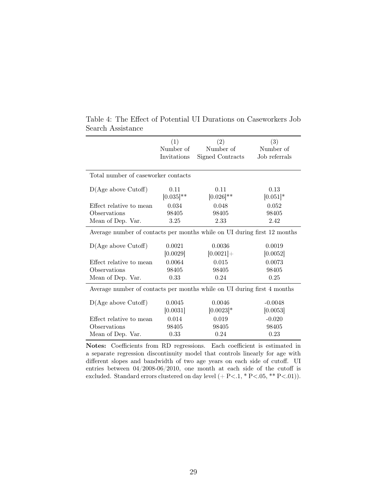|                                                                          | (1)            | (2)              | (3)           |
|--------------------------------------------------------------------------|----------------|------------------|---------------|
|                                                                          | Number of      | Number of        | Number of     |
|                                                                          | Invitations    | Signed Contracts | Job referrals |
|                                                                          |                |                  |               |
| Total number of caseworker contacts                                      |                |                  |               |
| D(Age above Cutoff)                                                      | 0.11           | 0.11             | 0.13          |
|                                                                          | $[0.035]^{**}$ | $[0.026]$ **     | $[0.051]$ *   |
| Effect relative to mean                                                  | 0.034          | 0.048            | 0.052         |
| Observations                                                             | 98405          | 98405            | 98405         |
| Mean of Dep. Var.                                                        | 3.25           | 2.33             | 2.42          |
| Average number of contacts per months while on UI during first 12 months |                |                  |               |
| D(Age above Cutoff)                                                      | 0.0021         | 0.0036           | 0.0019        |
|                                                                          | [0.0029]       | $[0.0021] +$     | [0.0052]      |
| Effect relative to mean                                                  | 0.0064         | 0.015            | 0.0073        |
| Observations                                                             | 98405          | 98405            | 98405         |
| Mean of Dep. Var.                                                        | 0.33           | 0.24             | 0.25          |
| Average number of contacts per months while on UI during first 4 months  |                |                  |               |
| D(Age above Cutoff)                                                      | 0.0045         | 0.0046           | $-0.0048$     |
|                                                                          | [0.0031]       | $[0.0023]*$      | [0.0053]      |
| Effect relative to mean                                                  | 0.014          | 0.019            | $-0.020$      |
| Observations                                                             | 98405          | 98405            | 98405         |
| Mean of Dep. Var.                                                        | 0.33           | 0.24             | 0.23          |

<span id="page-31-0"></span>Table 4: The Effect of Potential UI Durations on Caseworkers Job Search Assistance

Notes: Coefficients from RD regressions. Each coefficient is estimated in a separate regression discontinuity model that controls linearly for age with different slopes and bandwidth of two age years on each side of cutoff. UI entries between 04/2008-06/2010, one month at each side of the cutoff is excluded. Standard errors clustered on day level  $(+ P<.1, * P<.05, ** P<.01$ ).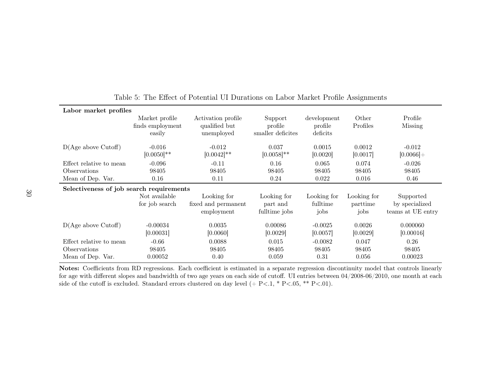|                                                              | Labor market profiles                        |                                                   |                                          |                                    |                                 |                                                  |  |  |  |
|--------------------------------------------------------------|----------------------------------------------|---------------------------------------------------|------------------------------------------|------------------------------------|---------------------------------|--------------------------------------------------|--|--|--|
|                                                              | Market profile<br>finds employment<br>easily | Activation profile<br>qualified but<br>unemployed | Support<br>profile<br>smaller deficites  | development<br>profile<br>deficits | Other<br>Profiles               | Profile<br><b>Missing</b>                        |  |  |  |
| D(Age above Cutoff)                                          | $-0.016$<br>$[0.0050]$ **                    | $-0.012$<br>$[0.0042]$ **                         | 0.037<br>$[0.0058]$ **                   | 0.0015<br>[0.0020]                 | 0.0012<br>[0.0017]              | $-0.012$<br>$[0.0066] +$                         |  |  |  |
| Effect relative to mean                                      | $-0.096$                                     | $-0.11$                                           | 0.16                                     | 0.065                              | 0.074                           | $-0.026$                                         |  |  |  |
| Observations                                                 | 98405                                        | 98405                                             | 98405                                    | 98405                              | 98405                           | 98405                                            |  |  |  |
| Mean of Dep. Var.<br>0.16                                    |                                              | 0.11                                              | 0.24                                     | 0.022                              | 0.016                           | 0.46                                             |  |  |  |
|                                                              | Selectiveness of job search requirements     |                                                   |                                          |                                    |                                 |                                                  |  |  |  |
|                                                              | Not available<br>for job search              | Looking for<br>fixed and permanent<br>employment  | Looking for<br>part and<br>fulltime jobs | Looking for<br>fulltime<br>jobs    | Looking for<br>parttime<br>jobs | Supported<br>by specialized<br>teams at UE entry |  |  |  |
| D(Age above Cutoff)                                          | $-0.00034$<br>[0.00031]                      | 0.0035<br>[0.0060]                                | 0.00086<br>[0.0029]                      | $-0.0025$<br>[0.0057]              | 0.0026<br> 0.0029               | 0.000060<br>[0.00016]                            |  |  |  |
| Effect relative to mean<br>Observations<br>Mean of Dep. Var. | $-0.66$<br>98405<br>0.00052                  | 0.0088<br>98405<br>0.40                           | 0.015<br>98405<br>0.059                  | $-0.0082$<br>98405<br>0.31         | 0.047<br>98405<br>0.056         | 0.26<br>98405<br>0.00023                         |  |  |  |

<span id="page-32-0"></span>

|  | Table 5: The Effect of Potential UI Durations on Labor Market Profile Assignments |  |  |
|--|-----------------------------------------------------------------------------------|--|--|
|  |                                                                                   |  |  |

Notes: Coefficients from RD regressions. Each coefficient is estimated in <sup>a</sup> separate regression discontinuity model that controls linearly for age with different slopes and bandwidth of two age years on each side of cutoff. UI entries between 04/2008-06/2010, one month at eachside of the cutoff is excluded. Standard errors clustered on day level  $(+ P<.1, * P<.05, ** P<.01)$ .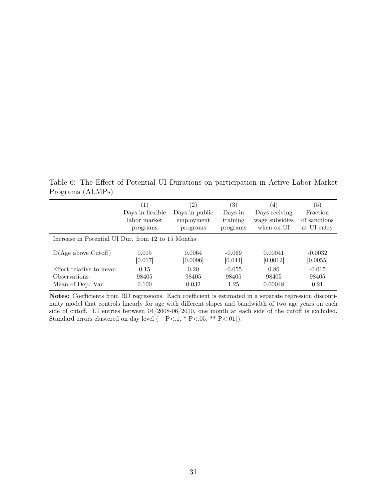<span id="page-33-0"></span>Table 6: The Effect of Potential UI Durations on participation in Active Labor Market Programs (ALMPs)

|                                                    | (1)              | $^{\prime}2)$  | $\left( 3\right)$ | $\left(4\right)$ | (5)          |  |  |
|----------------------------------------------------|------------------|----------------|-------------------|------------------|--------------|--|--|
|                                                    | Days in flexible | Days in public | Days in           | Days reciving    | Fraction     |  |  |
|                                                    | labor market     | employment     | training          | wage subsidies   | of sanctions |  |  |
|                                                    | programs         | programs       | programs          | when on UI       | at UI entry  |  |  |
| Increase in Potential UI Dur. from 12 to 15 Months |                  |                |                   |                  |              |  |  |
| D(Age above Cutoff)                                | 0.015            | 0.0064         | $-0.069$          | 0.00041          | $-0.0032$    |  |  |
|                                                    | [0.017]          | [0.0096]       | [0.044]           | [0.0012]         | [0.0055]     |  |  |
| Effect relative to mean                            | 0.15             | 0.20           | $-0.055$          | 0.86             | $-0.015$     |  |  |
| Observations                                       | 98405            | 98405          | 98405             | 98405            | 98405        |  |  |
| Mean of Dep. Var.                                  | 0.100            | 0.032          | 1.25              | 0.00048          | 0.21         |  |  |

Notes: Coefficients from RD regressions. Each coefficient is estimated in a separate regression discontinuity model that controls linearly for age with different slopes and bandwidth of two age years on each side of cutoff. UI entries between 04/2008-06/2010, one month at each side of the cutoff is excluded. Standard errors clustered on day level  $(+ P<.1, * P<.05, ** P<.01$ ).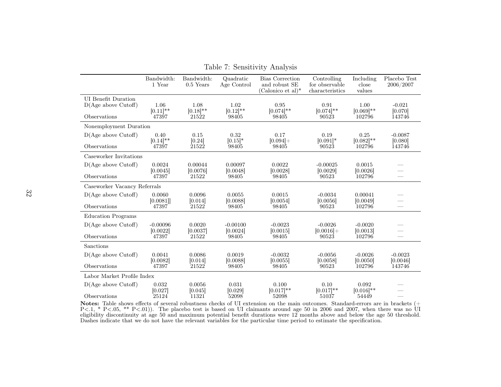|                                                                   | Bandwidth:<br>1 Year         | Bandwidth:<br>$0.5$ Years                     | Quadratic<br>Age Control     | <b>Bias</b> Correction<br>and robust SE<br>(Calonico et al) $*$ | Controlling<br>for observable<br>characteristics | Including<br>close<br>values   | Placebo Test<br>2006/2007                 |
|-------------------------------------------------------------------|------------------------------|-----------------------------------------------|------------------------------|-----------------------------------------------------------------|--------------------------------------------------|--------------------------------|-------------------------------------------|
| <b>UI</b> Benefit Duration<br>D(Age above Cutoff)<br>Observations | 1.06<br>$[0.11]$ **<br>47397 | 1.08<br>$[0.18]$ **<br>21522                  | 1.02<br>$[0.12]$ **<br>98405 | 0.95<br>$[0.074]$ **<br>98405                                   | 0.91<br>$[0.074]$ **<br>90523                    | 1.00<br>$[0.069]$ **<br>102796 | $-0.021$<br>[0.070]<br>143746             |
| Nonemployment Duration                                            |                              |                                               |                              |                                                                 |                                                  |                                |                                           |
| D(Age above Cutoff)                                               | 0.40                         | 0.15                                          | 0.32                         | 0.17                                                            | 0.19                                             | 0.25                           | $-0.0087$                                 |
| Observations                                                      | $[0.14]$ **<br>47397         | $\begin{bmatrix} 0.24 \\ 21522 \end{bmatrix}$ | $[0.15]*$<br>98405           | $[0.094] +$<br>98405                                            | $[0.091]*$<br>90523                              | $[0.082]$ **<br>102796         | [0.080]<br>143746                         |
| Caseworker Invitations                                            |                              |                                               |                              |                                                                 |                                                  |                                |                                           |
| D(Age above Cutoff)                                               | 0.0024                       | 0.00044                                       | 0.00097                      | 0.0022                                                          | $-0.00025$                                       | 0.0015                         |                                           |
| Observations                                                      | [0.0045]<br>47397            | [0.0076]<br>21522                             | [0.0048]<br>98405            | [0.0028]<br>98405                                               | [0.0029]<br>90523                                | [0.0026]<br>102796             | $\overline{\phantom{0}}$<br>$\frac{1}{2}$ |
| Caseworker Vacancy Referrals                                      |                              |                                               |                              |                                                                 |                                                  |                                |                                           |
| D(Age above Cutoff)                                               | 0.0060                       | 0.0096                                        | 0.0055                       | 0.0015                                                          | $-0.0034$                                        | 0.00041                        |                                           |
| Observations                                                      | [0.0081]<br>47397            | [0.014]<br>21522                              | [0.0088]<br>98405            | [0.0054]<br>98405                                               | [0.0056]<br>90523                                | [0.0049]<br>102796             | $\frac{1}{2}$                             |
| <b>Education Programs</b>                                         |                              |                                               |                              |                                                                 |                                                  |                                |                                           |
| D(Age above Cutoff)                                               | $-0.00096$                   | 0.0020                                        | $-0.00100$                   | $-0.0023$                                                       | $-0.0026$                                        | $-0.0020$                      |                                           |
| Observations                                                      | [0.0022]<br>47397            | [0.0037]<br>21522                             | [0.0024]<br>98405            | [0.0015]<br>98405                                               | $[0.0016]+$<br>90523                             | [0.0013]<br>102796             |                                           |
| Sanctions                                                         |                              |                                               |                              |                                                                 |                                                  |                                |                                           |
| D(Age above Cutoff)                                               | 0.0041                       | 0.0086                                        | 0.0019                       | $-0.0032$                                                       | $-0.0056$                                        | $-0.0026$                      | $-0.0023$                                 |
| Observations                                                      | [0.0082]<br>47397            | [0.014]<br>21522                              | [0.0088]<br>98405            | [0.0055]<br>98405                                               | [0.0058]<br>90523                                | [0.0050]<br>102796             | [0.0046]<br>143746                        |
| Labor Market Profile Index                                        |                              |                                               |                              |                                                                 |                                                  |                                |                                           |
| D(Age above Cutoff)<br>Observations                               | 0.032<br>[0.027]<br>25124    | 0.0056<br>[0.045]<br>11321                    | 0.031<br>[0.029]<br>52098    | 0.100<br>$[0.017]**$<br>52098                                   | 0.10<br>$[0.017]$ **<br>51037                    | 0.092<br>$[0.016]$ **<br>54449 |                                           |

<span id="page-34-0"></span>Table 7: Sensitivity Analysis

**Notes:** Table shows effects of several robustness checks of UI extension on the main outcomes. Standard-errors are in brackets  $(+P<.1, *P<.05, **P<.01)$ ). The placebo test is based on UI claimants around age 50 in 2006 and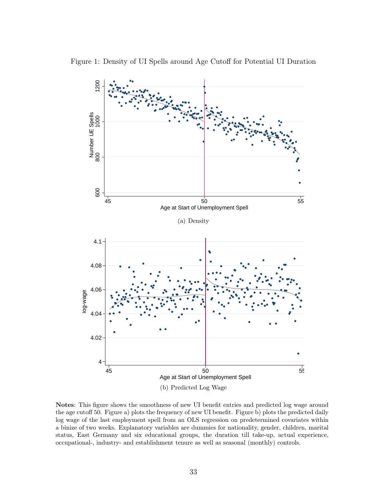

<span id="page-35-0"></span>

Notes: This figure shows the smoothness of new UI benefit entries and predicted log wage around the age cutoff 50. Figure a) plots the frequency of new UI benefit. Figure b) plots the predicted daily log wage of the last employment spell from an OLS regression on predetermined covariates within a binize of two weeks. Explanatory variables are dummies for nationality, gender, children, marital status, East Germany and six educational groups, the duration till take-up, actual experience, occupational-, industry- and establishment tenure as well as seasonal (monthly) controls.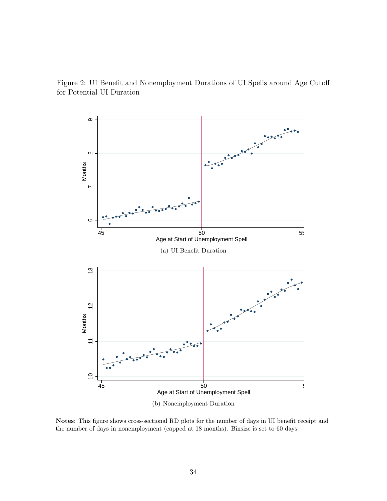Figure 2: UI Benefit and Nonemployment Durations of UI Spells around Age Cutoff for Potential UI Duration



Notes: This figure shows cross-sectional RD plots for the number of days in UI benefit receipt and the number of days in nonemployment (capped at 18 months). Binsize is set to 60 days.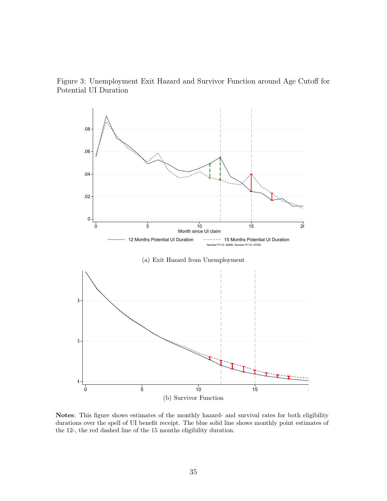Figure 3: Unemployment Exit Hazard and Survivor Function around Age Cutoff for Potential UI Duration

<span id="page-37-0"></span>

Notes: This figure shows estimates of the monthly hazard- and survival rates for both eligibility durations over the spell of UI benefit receipt. The blue solid line shows monthly point estimates of the 12-, the red dashed line of the 15 months eligibility duration.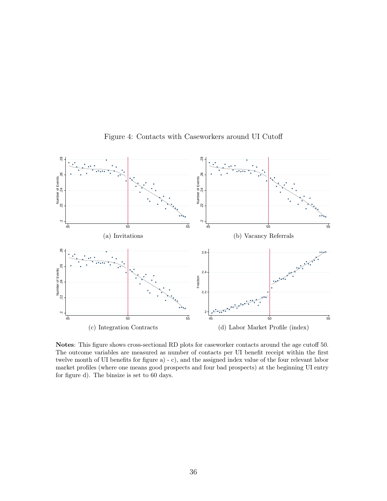

<span id="page-38-0"></span>Figure 4: Contacts with Caseworkers around UI Cutoff

Notes: This figure shows cross-sectional RD plots for caseworker contacts around the age cutoff 50. The outcome variables are measured as number of contacts per UI benefit receipt within the first twelve month of UI benefits for figure a) - c), and the assigned index value of the four relevant labor market profiles (where one means good prospects and four bad prospects) at the beginning UI entry for figure d). The binsize is set to 60 days.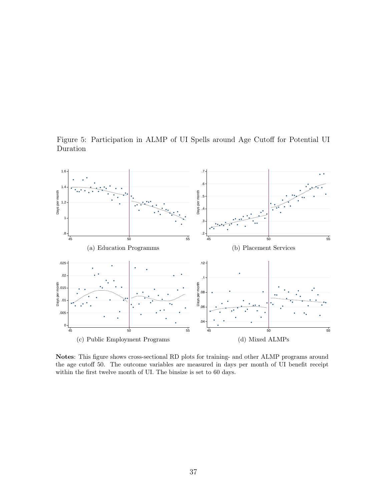

<span id="page-39-0"></span>Figure 5: Participation in ALMP of UI Spells around Age Cutoff for Potential UI Duration

Notes: This figure shows cross-sectional RD plots for training- and other ALMP programs around the age cutoff 50. The outcome variables are measured in days per month of UI benefit receipt within the first twelve month of UI. The binsize is set to 60 days.